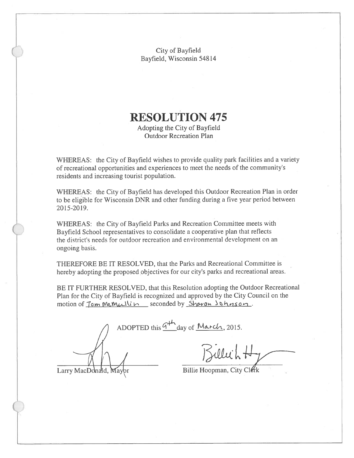City of Bayfield Bayfield, Wisconsin 54814

### **RESOLUTION 475**

Adopting the City of Bayfield **Outdoor Recreation Plan** 

WHEREAS: the City of Bayfield wishes to provide quality park facilities and a variety of recreational opportunities and experiences to meet the needs of the community's residents and increasing tourist population.

WHEREAS: the City of Bayfield has developed this Outdoor Recreation Plan in order to be eligible for Wisconsin DNR and other funding during a five year period between 2015-2019.

WHEREAS: the City of Bayfield Parks and Recreation Committee meets with Bayfield School representatives to consolidate a cooperative plan that reflects the district's needs for outdoor recreation and environmental development on an ongoing basis.

THEREFORE BE IT RESOLVED, that the Parks and Recreational Committee is hereby adopting the proposed objectives for our city's parks and recreational areas.

BE IT FURTHER RESOLVED, that this Resolution adopting the Outdoor Recreational Plan for the City of Bayfield is recognized and approved by the City Council on the motion of Tom McMullin seconded by Sharon Johnson.

ADOPTED this  $4^{\frac{1}{10}}$  day of March, 2015.

Larry MacDonald, Maybr

Billie Hoopman, City Clerk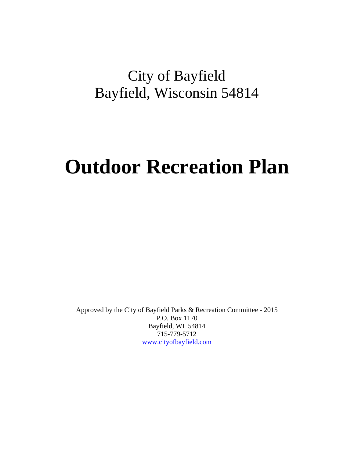## City of Bayfield Bayfield, Wisconsin 54814

# **Outdoor Recreation Plan**

Approved by the City of Bayfield Parks & Recreation Committee - 2015 P.O. Box 1170 Bayfield, WI 54814 715-779-5712 www.cityofbayfield.com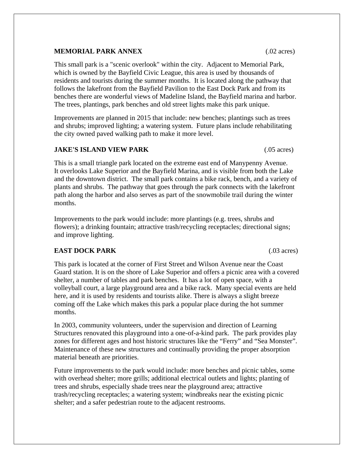#### **MEMORIAL PARK ANNEX** (02 acres)

This small park is a "scenic overlook" within the city. Adjacent to Memorial Park, which is owned by the Bayfield Civic League, this area is used by thousands of residents and tourists during the summer months. It is located along the pathway that follows the lakefront from the Bayfield Pavilion to the East Dock Park and from its benches there are wonderful views of Madeline Island, the Bayfield marina and harbor. The trees, plantings, park benches and old street lights make this park unique.

Improvements are planned in 2015 that include: new benches; plantings such as trees and shrubs; improved lighting; a watering system. Future plans include rehabilitating the city owned paved walking path to make it more level.

#### **JAKE'S ISLAND VIEW PARK** (05 acres)

This is a small triangle park located on the extreme east end of Manypenny Avenue. It overlooks Lake Superior and the Bayfield Marina, and is visible from both the Lake and the downtown district. The small park contains a bike rack, bench, and a variety of plants and shrubs. The pathway that goes through the park connects with the lakefront path along the harbor and also serves as part of the snowmobile trail during the winter months.

Improvements to the park would include: more plantings (e.g. trees, shrubs and flowers); a drinking fountain; attractive trash/recycling receptacles; directional signs; and improve lighting.

#### **EAST DOCK PARK** (03 acres)

This park is located at the corner of First Street and Wilson Avenue near the Coast Guard station. It is on the shore of Lake Superior and offers a picnic area with a covered shelter, a number of tables and park benches. It has a lot of open space, with a volleyball court, a large playground area and a bike rack. Many special events are held here, and it is used by residents and tourists alike. There is always a slight breeze coming off the Lake which makes this park a popular place during the hot summer months.

In 2003, community volunteers, under the supervision and direction of Learning Structures renovated this playground into a one-of-a-kind park. The park provides play zones for different ages and host historic structures like the "Ferry" and "Sea Monster". Maintenance of these new structures and continually providing the proper absorption material beneath are priorities.

Future improvements to the park would include: more benches and picnic tables, some with overhead shelter; more grills; additional electrical outlets and lights; planting of trees and shrubs, especially shade trees near the playground area; attractive trash/recycling receptacles; a watering system; windbreaks near the existing picnic shelter; and a safer pedestrian route to the adjacent restrooms.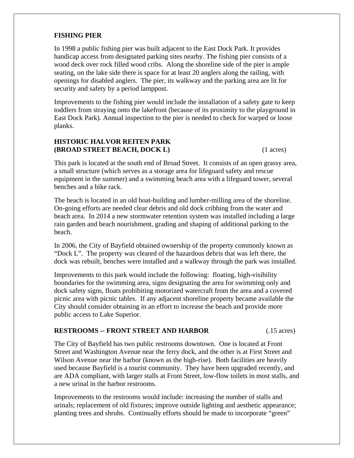#### **FISHING PIER**

In 1998 a public fishing pier was built adjacent to the East Dock Park. It provides handicap access from designated parking sites nearby. The fishing pier consists of a wood deck over rock filled wood cribs. Along the shoreline side of the pier is ample seating, on the lake side there is space for at least 20 anglers along the railing, with openings for disabled anglers. The pier, its walkway and the parking area are lit for security and safety by a period lamppost.

Improvements to the fishing pier would include the installation of a safety gate to keep toddlers from straying onto the lakefront (because of its proximity to the playground in East Dock Park). Annual inspection to the pier is needed to check for warped or loose planks.

#### **HISTORIC HALVOR REITEN PARK (BROAD STREET BEACH, DOCK L)** (1 acres)

This park is located at the south end of Broad Street. It consists of an open grassy area, a small structure (which serves as a storage area for lifeguard safety and rescue equipment in the summer) and a swimming beach area with a lifeguard tower, several benches and a bike rack.

The beach is located in an old boat-building and lumber-milling area of the shoreline. On-going efforts are needed clear debris and old dock cribbing from the water and beach area. In 2014 a new stormwater retention system was installed including a large rain garden and beach nourishment, grading and shaping of additional parking to the beach.

In 2006, the City of Bayfield obtained ownership of the property commonly known as "Dock L". The property was cleared of the hazardous debris that was left there, the dock was rebuilt, benches were installed and a walkway through the park was installed.

Improvements to this park would include the following: floating, high-visibility boundaries for the swimming area, signs designating the area for swimming only and dock safety signs, floats prohibiting motorized watercraft from the area and a covered picnic area with picnic tables. If any adjacent shoreline property became available the City should consider obtaining in an effort to increase the beach and provide more public access to Lake Superior.

#### **RESTROOMS -- FRONT STREET AND HARBOR** (.15 acres)

The City of Bayfield has two public restrooms downtown. One is located at Front Street and Washington Avenue near the ferry dock, and the other is at First Street and Wilson Avenue near the harbor (known as the high-rise). Both facilities are heavily used because Bayfield is a tourist community. They have been upgraded recently, and are ADA compliant, with larger stalls at Front Street, low-flow toilets in most stalls, and a new urinal in the harbor restrooms.

Improvements to the restrooms would include: increasing the number of stalls and urinals; replacement of old fixtures; improve outside lighting and aesthetic appearance; planting trees and shrubs. Continually efforts should be made to incorporate "green"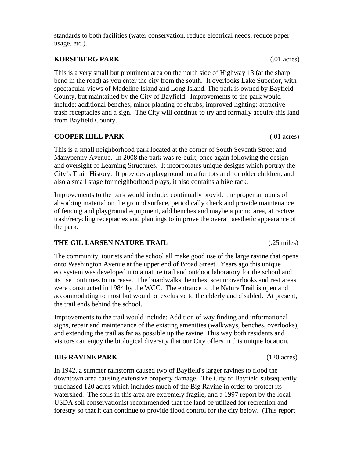standards to both facilities (water conservation, reduce electrical needs, reduce paper usage, etc.).

#### **KORSEBERG PARK** (.01 acres)

This is a very small but prominent area on the north side of Highway 13 (at the sharp bend in the road) as you enter the city from the south. It overlooks Lake Superior, with spectacular views of Madeline Island and Long Island. The park is owned by Bayfield County, but maintained by the City of Bayfield. Improvements to the park would include: additional benches; minor planting of shrubs; improved lighting; attractive trash receptacles and a sign. The City will continue to try and formally acquire this land from Bayfield County.

#### **COOPER HILL PARK** (.01 acres)

This is a small neighborhood park located at the corner of South Seventh Street and Manypenny Avenue. In 2008 the park was re-built, once again following the design and oversight of Learning Structures. It incorporates unique designs which portray the City's Train History. It provides a playground area for tots and for older children, and also a small stage for neighborhood plays, it also contains a bike rack.

Improvements to the park would include: continually provide the proper amounts of absorbing material on the ground surface, periodically check and provide maintenance of fencing and playground equipment, add benches and maybe a picnic area, attractive trash/recycling receptacles and plantings to improve the overall aesthetic appearance of the park.

#### **THE GIL LARSEN NATURE TRAIL** (25 miles)

The community, tourists and the school all make good use of the large ravine that opens onto Washington Avenue at the upper end of Broad Street. Years ago this unique ecosystem was developed into a nature trail and outdoor laboratory for the school and its use continues to increase. The boardwalks, benches, scenic overlooks and rest areas were constructed in 1984 by the WCC. The entrance to the Nature Trail is open and accommodating to most but would be exclusive to the elderly and disabled. At present, the trail ends behind the school.

Improvements to the trail would include: Addition of way finding and informational signs, repair and maintenance of the existing amenities (walkways, benches, overlooks), and extending the trail as far as possible up the ravine. This way both residents and visitors can enjoy the biological diversity that our City offers in this unique location.

#### **BIG RAVINE PARK** (120 acres)

In 1942, a summer rainstorm caused two of Bayfield's larger ravines to flood the downtown area causing extensive property damage. The City of Bayfield subsequently purchased 120 acres which includes much of the Big Ravine in order to protect its watershed. The soils in this area are extremely fragile, and a 1997 report by the local USDA soil conservationist recommended that the land be utilized for recreation and forestry so that it can continue to provide flood control for the city below. (This report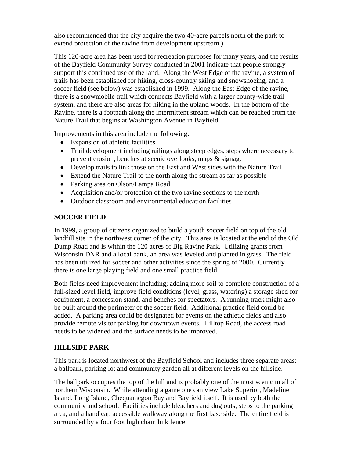also recommended that the city acquire the two 40-acre parcels north of the park to extend protection of the ravine from development upstream.)

This 120-acre area has been used for recreation purposes for many years, and the results of the Bayfield Community Survey conducted in 2001 indicate that people strongly support this continued use of the land. Along the West Edge of the ravine, a system of trails has been established for hiking, cross-country skiing and snowshoeing, and a soccer field (see below) was established in 1999. Along the East Edge of the ravine, there is a snowmobile trail which connects Bayfield with a larger county-wide trail system, and there are also areas for hiking in the upland woods. In the bottom of the Ravine, there is a footpath along the intermittent stream which can be reached from the Nature Trail that begins at Washington Avenue in Bayfield.

Improvements in this area include the following:

- Expansion of athletic facilities
- Trail development including railings along steep edges, steps where necessary to prevent erosion, benches at scenic overlooks, maps & signage
- Develop trails to link those on the East and West sides with the Nature Trail
- Extend the Nature Trail to the north along the stream as far as possible
- Parking area on Olson/Lampa Road
- Acquisition and/or protection of the two ravine sections to the north
- Outdoor classroom and environmental education facilities

#### **SOCCER FIELD**

In 1999, a group of citizens organized to build a youth soccer field on top of the old landfill site in the northwest corner of the city. This area is located at the end of the Old Dump Road and is within the 120 acres of Big Ravine Park. Utilizing grants from Wisconsin DNR and a local bank, an area was leveled and planted in grass. The field has been utilized for soccer and other activities since the spring of 2000. Currently there is one large playing field and one small practice field.

Both fields need improvement including; adding more soil to complete construction of a full-sized level field, improve field conditions (level, grass, watering) a storage shed for equipment, a concession stand, and benches for spectators. A running track might also be built around the perimeter of the soccer field. Additional practice field could be added. A parking area could be designated for events on the athletic fields and also provide remote visitor parking for downtown events. Hilltop Road, the access road needs to be widened and the surface needs to be improved.

#### **HILLSIDE PARK**

This park is located northwest of the Bayfield School and includes three separate areas: a ballpark, parking lot and community garden all at different levels on the hillside.

The ballpark occupies the top of the hill and is probably one of the most scenic in all of northern Wisconsin. While attending a game one can view Lake Superior, Madeline Island, Long Island, Chequamegon Bay and Bayfield itself. It is used by both the community and school. Facilities include bleachers and dug outs, steps to the parking area, and a handicap accessible walkway along the first base side. The entire field is surrounded by a four foot high chain link fence.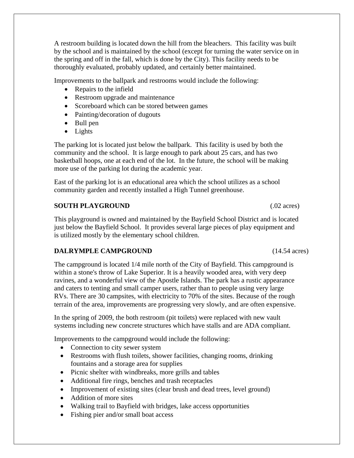A restroom building is located down the hill from the bleachers. This facility was built by the school and is maintained by the school (except for turning the water service on in the spring and off in the fall, which is done by the City). This facility needs to be thoroughly evaluated, probably updated, and certainly better maintained.

Improvements to the ballpark and restrooms would include the following:

- Repairs to the infield
- Restroom upgrade and maintenance
- Scoreboard which can be stored between games
- Painting/decoration of dugouts
- Bull pen
- $\bullet$  Lights

The parking lot is located just below the ballpark. This facility is used by both the community and the school. It is large enough to park about 25 cars, and has two basketball hoops, one at each end of the lot. In the future, the school will be making more use of the parking lot during the academic year.

East of the parking lot is an educational area which the school utilizes as a school community garden and recently installed a High Tunnel greenhouse.

#### **SOUTH PLAYGROUND** (02 acres)

This playground is owned and maintained by the Bayfield School District and is located just below the Bayfield School. It provides several large pieces of play equipment and is utilized mostly by the elementary school children.

#### **DALRYMPLE CAMPGROUND** (14.54 acres)

The campground is located 1/4 mile north of the City of Bayfield. This campground is within a stone's throw of Lake Superior. It is a heavily wooded area, with very deep ravines, and a wonderful view of the Apostle Islands. The park has a rustic appearance and caters to tenting and small camper users, rather than to people using very large RVs. There are 30 campsites, with electricity to 70% of the sites. Because of the rough terrain of the area, improvements are progressing very slowly, and are often expensive.

In the spring of 2009, the both restroom (pit toilets) were replaced with new vault systems including new concrete structures which have stalls and are ADA compliant.

Improvements to the campground would include the following:

- Connection to city sewer system
- Restrooms with flush toilets, shower facilities, changing rooms, drinking fountains and a storage area for supplies
- Picnic shelter with windbreaks, more grills and tables
- Additional fire rings, benches and trash receptacles
- Improvement of existing sites (clear brush and dead trees, level ground)
- Addition of more sites
- Walking trail to Bayfield with bridges, lake access opportunities
- Fishing pier and/or small boat access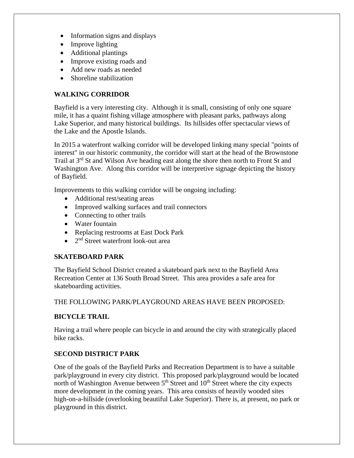- Information signs and displays
- Improve lighting
- Additional plantings
- Improve existing roads and
- Add new roads as needed
- Shoreline stabilization

#### **WALKING CORRIDOR**

Bayfield is a very interesting city. Although it is small, consisting of only one square mile, it has a quaint fishing village atmosphere with pleasant parks, pathways along Lake Superior, and many historical buildings. Its hillsides offer spectacular views of the Lake and the Apostle Islands.

In 2015 a waterfront walking corridor will be developed linking many special "points of interest" in our historic community, the corridor will start at the head of the Brownstone Trail at 3<sup>rd</sup> St and Wilson Ave heading east along the shore then north to Front St and Washington Ave. Along this corridor will be interpretive signage depicting the history of Bayfield.

Improvements to this walking corridor will be ongoing including:

- Additional rest/seating areas
- Improved walking surfaces and trail connectors
- Connecting to other trails
- Water fountain
- Replacing restrooms at East Dock Park
- 2<sup>nd</sup> Street waterfront look-out area

#### **SKATEBOARD PARK**

The Bayfield School District created a skateboard park next to the Bayfield Area Recreation Center at 136 South Broad Street. This area provides a safe area for skateboarding activities.

#### THE FOLLOWING PARK/PLAYGROUND AREAS HAVE BEEN PROPOSED:

#### **BICYCLE TRAIL**

Having a trail where people can bicycle in and around the city with strategically placed bike racks.

#### **SECOND DISTRICT PARK**

One of the goals of the Bayfield Parks and Recreation Department is to have a suitable park/playground in every city district. This proposed park/playground would be located north of Washington Avenue between  $5<sup>th</sup>$  Street and  $10<sup>th</sup>$  Street where the city expects more development in the coming years. This area consists of heavily wooded sites high-on-a-hillside (overlooking beautiful Lake Superior). There is, at present, no park or playground in this district.